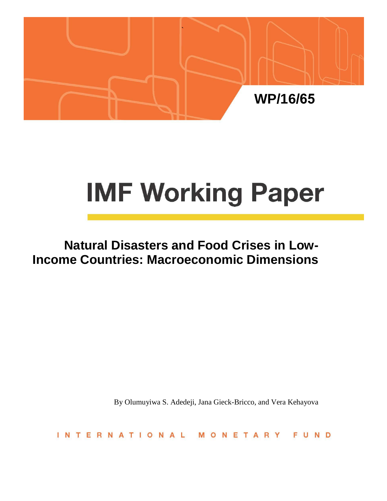

# **IMF Working Paper**

# **Natural Disasters and Food Crises in Low-Income Countries: Macroeconomic Dimensions**

By Olumuyiwa S. Adedeji, Jana Gieck-Bricco, and Vera Kehayova

INTERNATIONAL MONETARY FUND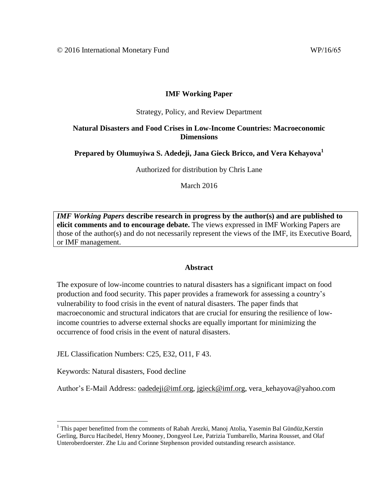# **IMF Working Paper**

#### Strategy, Policy, and Review Department

## **Natural Disasters and Food Crises in Low-Income Countries: Macroeconomic Dimensions**

# **Prepared by Olumuyiwa S. Adedeji, Jana Gieck Bricco, and Vera Kehayova<sup>1</sup>**

Authorized for distribution by Chris Lane

March 2016

*IMF Working Papers* **describe research in progress by the author(s) and are published to elicit comments and to encourage debate.** The views expressed in IMF Working Papers are those of the author(s) and do not necessarily represent the views of the IMF, its Executive Board, or IMF management.

#### **Abstract**

The exposure of low-income countries to natural disasters has a significant impact on food production and food security. This paper provides a framework for assessing a country's vulnerability to food crisis in the event of natural disasters. The paper finds that macroeconomic and structural indicators that are crucial for ensuring the resilience of lowincome countries to adverse external shocks are equally important for minimizing the occurrence of food crisis in the event of natural disasters.

JEL Classification Numbers: C25, E32, O11, F 43.

Keywords: Natural disasters, Food decline

Author's E-Mail Address: [oadedeji@imf.org,](mailto:oadedeji@imf.org) [jgieck@imf.org,](mailto:jgieck@imf.org) vera\_kehayova@yahoo.com

<sup>1</sup> This paper benefitted from the comments of Rabah Arezki, Manoj Atolia, Yasemin Bal Gündüz*,*Kerstin Gerling, Burcu Hacibedel, Henry Mooney, Dongyeol Lee, Patrizia Tumbarello, Marina Rousset, and Olaf Unteroberdoerster. Zhe Liu and Corinne Stephenson provided outstanding research assistance.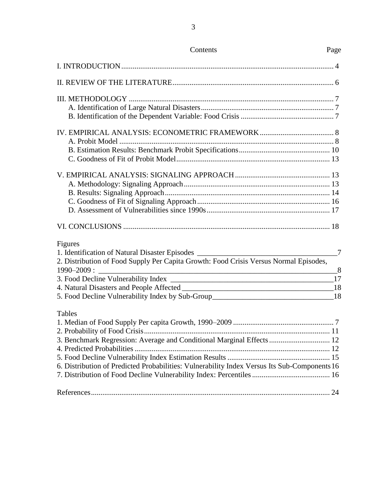| Contents                                                                                                                                                                                                                                                                                                   | Page          |
|------------------------------------------------------------------------------------------------------------------------------------------------------------------------------------------------------------------------------------------------------------------------------------------------------------|---------------|
|                                                                                                                                                                                                                                                                                                            |               |
|                                                                                                                                                                                                                                                                                                            |               |
|                                                                                                                                                                                                                                                                                                            |               |
|                                                                                                                                                                                                                                                                                                            |               |
|                                                                                                                                                                                                                                                                                                            |               |
|                                                                                                                                                                                                                                                                                                            |               |
| Figures<br>1. Identification of Natural Disaster Episodes _________________________________<br>2. Distribution of Food Supply Per Capita Growth: Food Crisis Versus Normal Episodes,<br>$\sim$ 8<br>$1990 - 2009$ :<br>5. Food Decline Vulnerability Index by Sub-Group_________________________________18 | $\frac{1}{2}$ |
| Tables<br>3. Benchmark Regression: Average and Conditional Marginal Effects  12<br>6. Distribution of Predicted Probabilities: Vulnerability Index Versus Its Sub-Components 16                                                                                                                            |               |
|                                                                                                                                                                                                                                                                                                            |               |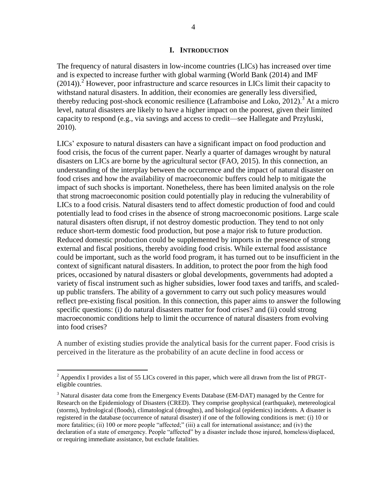#### **I. INTRODUCTION**

The frequency of natural disasters in low-income countries (LICs) has increased over time and is expected to increase further with global warming (World Bank (2014) and IMF  $(2014)$ .<sup>2</sup> However, poor infrastructure and scarce resources in LICs limit their capacity to withstand natural disasters. In addition, their economies are generally less diversified, thereby reducing post-shock economic resilience (Laframboise and Loko, 2012).<sup>3</sup> At a micro level, natural disasters are likely to have a higher impact on the poorest, given their limited capacity to respond (e.g., via savings and access to credit—see Hallegate and Przyluski, 2010).

LICs' exposure to natural disasters can have a significant impact on food production and food crisis, the focus of the current paper. Nearly a quarter of damages wrought by natural disasters on LICs are borne by the agricultural sector (FAO, 2015). In this connection, an understanding of the interplay between the occurrence and the impact of natural disaster on food crises and how the availability of macroeconomic buffers could help to mitigate the impact of such shocks is important. Nonetheless, there has been limited analysis on the role that strong macroeconomic position could potentially play in reducing the vulnerability of LICs to a food crisis. Natural disasters tend to affect domestic production of food and could potentially lead to food crises in the absence of strong macroeconomic positions. Large scale natural disasters often disrupt, if not destroy domestic production. They tend to not only reduce short-term domestic food production, but pose a major risk to future production. Reduced domestic production could be supplemented by imports in the presence of strong external and fiscal positions, thereby avoiding food crisis. While external food assistance could be important, such as the world food program, it has turned out to be insufficient in the context of significant natural disasters. In addition, to protect the poor from the high food prices, occasioned by natural disasters or global developments, governments had adopted a variety of fiscal instrument such as higher subsidies, lower food taxes and tariffs, and scaledup public transfers. The ability of a government to carry out such policy measures would reflect pre-existing fiscal position. In this connection, this paper aims to answer the following specific questions: (i) do natural disasters matter for food crises? and (ii) could strong macroeconomic conditions help to limit the occurrence of natural disasters from evolving into food crises?

A number of existing studies provide the analytical basis for the current paper. Food crisis is perceived in the literature as the probability of an acute decline in food access or

<sup>&</sup>lt;sup>2</sup> Appendix I provides a list of 55 LICs covered in this paper, which were all drawn from the list of PRGTeligible countries.

 $3$  Natural disaster data come from the Emergency Events Database (EM-DAT) managed by the Centre for Research on the Epidemiology of Disasters (CRED). They comprise geophysical (earthquake), metereological (storms), hydrological (floods), climatological (droughts), and biological (epidemics) incidents. A disaster is registered in the database (occurrence of natural disaster) if one of the following conditions is met: (i) 10 or more fatalities; (ii) 100 or more people "affected;" (iii) a call for international assistance; and (iv) the declaration of a state of emergency. People "affected" by a disaster include those injured, homeless/displaced, or requiring immediate assistance, but exclude fatalities.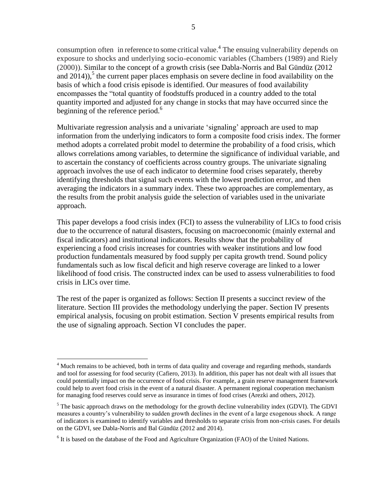consumption often in reference to some critical value. 4 The ensuing vulnerability depends on exposure to shocks and underlying socio-economic variables (Chambers (1989) and Riely (2000)). Similar to the concept of a growth crisis (see Dabla-Norris and Bal Gündüz (2012 and  $2014$ )),<sup>5</sup> the current paper places emphasis on severe decline in food availability on the basis of which a food crisis episode is identified. Our measures of food availability encompasses the "total quantity of foodstuffs produced in a country added to the total quantity imported and adjusted for any change in stocks that may have occurred since the beginning of the reference period. $<sup>6</sup>$ </sup>

Multivariate regression analysis and a univariate 'signaling' approach are used to map information from the underlying indicators to form a composite food crisis index. The former method adopts a correlated probit model to determine the probability of a food crisis, which allows correlations among variables, to determine the significance of individual variable, and to ascertain the constancy of coefficients across country groups. The univariate signaling approach involves the use of each indicator to determine food crises separately, thereby identifying thresholds that signal such events with the lowest prediction error, and then averaging the indicators in a summary index. These two approaches are complementary, as the results from the probit analysis guide the selection of variables used in the univariate approach.

This paper develops a food crisis index (FCI) to assess the vulnerability of LICs to food crisis due to the occurrence of natural disasters, focusing on macroeconomic (mainly external and fiscal indicators) and institutional indicators*.* Results show that the probability of experiencing a food crisis increases for countries with weaker institutions and low food production fundamentals measured by food supply per capita growth trend. Sound policy fundamentals such as low fiscal deficit and high reserve coverage are linked to a lower likelihood of food crisis. The constructed index can be used to assess vulnerabilities to food crisis in LICs over time.

The rest of the paper is organized as follows: Section II presents a succinct review of the literature. Section III provides the methodology underlying the paper. Section IV presents empirical analysis, focusing on probit estimation. Section V presents empirical results from the use of signaling approach. Section VI concludes the paper.

<sup>&</sup>lt;sup>4</sup> Much remains to be achieved, both in terms of data quality and coverage and regarding methods, standards and tool for assessing for food security (Cafiero, 2013). In addition, this paper has not dealt with all issues that could potentially impact on the occurrence of food crisis. For example, a grain reserve management framework could help to avert food crisis in the event of a natural disaster. A permanent regional cooperation mechanism for managing food reserves could serve as insurance in times of food crises (Arezki and others, 2012).

 $<sup>5</sup>$  The basic approach draws on the methodology for the growth decline vulnerability index (GDVI). The GDVI</sup> measures a country's vulnerability to sudden growth declines in the event of a large exogenous shock. A range of indicators is examined to identify variables and thresholds to separate crisis from non-crisis cases. For details on the GDVI, see Dabla-Norris and Bal Gündüz (2012 and 2014).

 $6$  It is based on the database of the Food and Agriculture Organization (FAO) of the United Nations.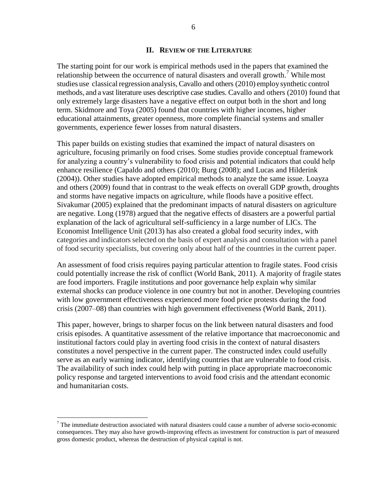#### **II. REVIEW OF THE LITERATURE**

The starting point for our work is empirical methods used in the papers that examined the relationship between the occurrence of natural disasters and overall growth.<sup>7</sup> While most studies use classical regression analysis, Cavallo and others (2010) employ synthetic control methods, and a vast literature uses descriptive case studies. Cavallo and others (2010) found that only extremely large disasters have a negative effect on output both in the short and long term. Skidmore and Toya (2005) found that countries with higher incomes, higher educational attainments, greater openness, more complete financial systems and smaller governments, experience fewer losses from natural disasters.

This paper builds on existing studies that examined the impact of natural disasters on agriculture, focusing primarily on food crises. Some studies provide conceptual framework for analyzing a country's vulnerability to food crisis and potential indicators that could help enhance resilience (Capaldo and others (2010); Burg (2008); and Lucas and Hilderink (2004)). Other studies have adopted empirical methods to analyze the same issue. Loayza and others (2009) found that in contrast to the weak effects on overall GDP growth, droughts and storms have negative impacts on agriculture, while floods have a positive effect. Sivakumar (2005) explained that the predominant impacts of natural disasters on agriculture are negative. Long (1978) argued that the negative effects of disasters are a powerful partial explanation of the lack of agricultural self-sufficiency in a large number of LICs. The Economist Intelligence Unit (2013) has also created a global food security index, with categories and indicators selected on the basis of expert analysis and consultation with a panel of food security specialists, but covering only about half of the countries in the current paper.

An assessment of food crisis requires paying particular attention to fragile states. Food crisis could potentially increase the risk of conflict (World Bank, 2011). A majority of fragile states are food importers. Fragile institutions and poor governance help explain why similar external shocks can produce violence in one country but not in another. Developing countries with low government effectiveness experienced more food price protests during the food crisis (2007–08) than countries with high government effectiveness (World Bank, 2011).

This paper, however, brings to sharper focus on the link between natural disasters and food crisis episodes. A quantitative assessment of the relative importance that macroeconomic and institutional factors could play in averting food crisis in the context of natural disasters constitutes a novel perspective in the current paper. The constructed index could usefully serve as an early warning indicator, identifying countries that are vulnerable to food crisis. The availability of such index could help with putting in place appropriate macroeconomic policy response and targeted interventions to avoid food crisis and the attendant economic and humanitarian costs.

 $<sup>7</sup>$  The immediate destruction associated with natural disasters could cause a number of adverse socio-economic</sup> consequences. They may also have growth-improving effects as investment for construction is part of measured gross domestic product, whereas the destruction of physical capital is not.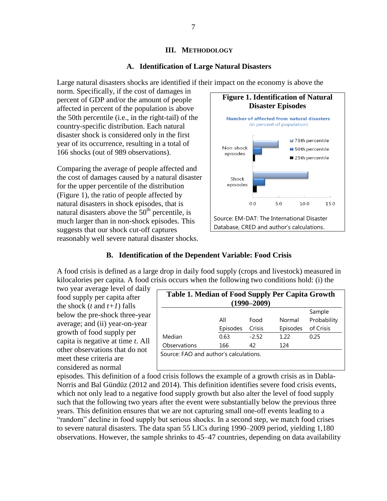#### **III. METHODOLOGY**

### **A. Identification of Large Natural Disasters**

Large natural disasters shocks are identified if their impact on the economy is above the

norm. Specifically, if the cost of damages in percent of GDP and/or the amount of people affected in percent of the population is above the 50th percentile (i.e., in the right-tail) of the country-specific distribution. Each natural disaster shock is considered only in the first year of its occurrence, resulting in a total of 166 shocks (out of 989 observations).

Comparing the average of people affected and the cost of damages caused by a natural disaster for the upper percentile of the distribution (Figure 1), the ratio of people affected by natural disasters in shock episodes, that is natural disasters above the  $50<sup>th</sup>$  percentile, is much larger than in non-shock episodes. This suggests that our shock cut-off captures reasonably well severe natural disaster shocks.



# **B. Identification of the Dependent Variable: Food Crisis**

A food crisis is defined as a large drop in daily food supply (crops and livestock) measured in kilocalories per capita. A food crisis occurs when the following two conditions hold: (i) the

two year average level of daily food supply per capita after the shock  $(t \text{ and } t+1)$  falls below the pre-shock three-year average; and (ii) year-on-year growth of food supply per capita is negative at time *t*. All other observations that do not meet these criteria are considered as normal

| Table 1. Median of Food Supply Per Capita Growth |          | $(1990 - 2009)$ |          |             |
|--------------------------------------------------|----------|-----------------|----------|-------------|
|                                                  |          |                 |          | Sample      |
|                                                  | All      | Food            | Normal   | Probability |
|                                                  | Episodes | Crisis          | Episodes | of Crisis   |
| Median                                           | 0.63     | $-2.52$         | 1.22     | 0.25        |
| Observations                                     | 166      | 42              | 124      |             |
| Source: FAO and author's calculations.           |          |                 |          |             |

episodes. This definition of a food crisis follows the example of a growth crisis as in Dabla-Norris and Bal Gündüz (2012 and 2014). This definition identifies severe food crisis events, which not only lead to a negative food supply growth but also alter the level of food supply such that the following two years after the event were substantially below the previous three years. This definition ensures that we are not capturing small one-off events leading to a "random" decline in food supply but serious shocks. In a second step, we match food crises to severe natural disasters. The data span 55 LICs during 1990–2009 period, yielding 1,180 observations. However, the sample shrinks to 45–47 countries, depending on data availability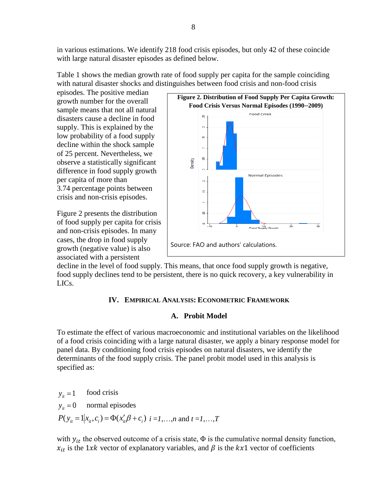in various estimations. We identify 218 food crisis episodes, but only 42 of these coincide with large natural disaster episodes as defined below.

Table 1 shows the median growth rate of food supply per capita for the sample coinciding with natural disaster shocks and distinguishes between food crisis and non-food crisis

episodes. The positive median growth number for the overall sample means that not all natural disasters cause a decline in food supply. This is explained by the low probability of a food supply decline within the shock sample of 25 percent. Nevertheless, we observe a statistically significant difference in food supply growth per capita of more than 3.74 percentage points between crisis and non-crisis episodes.

Figure 2 presents the distribution of food supply per capita for crisis and non-crisis episodes. In many cases, the drop in food supply growth (negative value) is also associated with a persistent



decline in the level of food supply. This means, that once food supply growth is negative, food supply declines tend to be persistent, there is no quick recovery, a key vulnerability in LICs.

# **IV. EMPIRICAL ANALYSIS: ECONOMETRIC FRAMEWORK**

# **A. Probit Model**

To estimate the effect of various macroeconomic and institutional variables on the likelihood of a food crisis coinciding with a large natural disaster, we apply a binary response model for panel data. By conditioning food crisis episodes on natural disasters, we identify the determinants of the food supply crisis. The panel probit model used in this analysis is specified as:

 $y_{it} = 0$  normal episodes  $y_{it} = 1$  $P(y_{it} = 1 | x_{it}, c_i) = \Phi(x_{it}' \beta + c_i)$  *i* = *i*,…,*n* and *t* = *i*,…,*T* food crisis

with  $y_{it}$  the observed outcome of a crisis state,  $\Phi$  is the cumulative normal density function,  $x_{it}$  is the 1xk vector of explanatory variables, and  $\beta$  is the kx1 vector of coefficients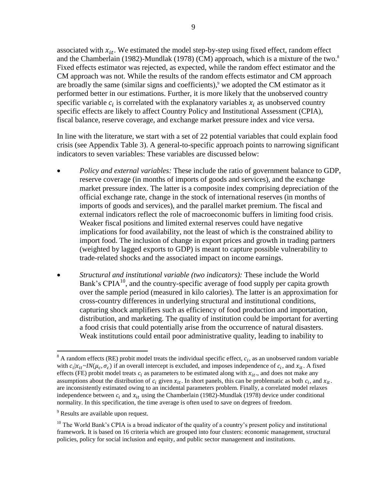associated with  $x_{it}$ . We estimated the model step-by-step using fixed effect, random effect and the Chamberlain (1982)-Mundlak (1978) (CM) approach, which is a mixture of the two.<sup>8</sup> Fixed effects estimator was rejected, as expected, while the random effect estimator and the CM approach was not. While the results of the random effects estimator and CM approach are broadly the same (similar signs and coefficients), <sup>9</sup> we adopted the CM estimator as it performed better in our estimations. Further, it is more likely that the unobserved country specific variable  $c_i$  is correlated with the explanatory variables  $x_i$  as unobserved country specific effects are likely to affect Country Policy and Institutional Assessment (CPIA), fiscal balance, reserve coverage, and exchange market pressure index and vice versa.

In line with the literature, we start with a set of 22 potential variables that could explain food crisis (see Appendix Table 3). A general-to-specific approach points to narrowing significant indicators to seven variables: These variables are discussed below:

- *Policy and external variables:* These include the ratio of government balance to GDP, reserve coverage (in months of imports of goods and services), and the exchange market pressure index. The latter is a composite index comprising depreciation of the official exchange rate, change in the stock of international reserves (in months of imports of goods and services), and the parallel market premium. The fiscal and external indicators reflect the role of macroeconomic buffers in limiting food crisis. Weaker fiscal positions and limited external reserves could have negative implications for food availability, not the least of which is the constrained ability to import food. The inclusion of change in export prices and growth in trading partners (weighted by lagged exports to GDP) is meant to capture possible vulnerability to trade-related shocks and the associated impact on income earnings.
- *Structural and institutional variable (two indicators):* These include the World Bank's CPIA<sup>10</sup>, and the country-specific average of food supply per capita growth over the sample period (measured in kilo calories). The latter is an approximation for cross-country differences in underlying structural and institutional conditions, capturing shock amplifiers such as efficiency of food production and importation, distribution, and marketing. The quality of institution could be important for averting a food crisis that could potentially arise from the occurrence of natural disasters. Weak institutions could entail poor administrative quality, leading to inability to

<sup>&</sup>lt;sup>8</sup> A random effects (RE) probit model treats the individual specific effect,  $c_i$ , as an unobserved random variable with  $c_i | x_{it} \sim IN(\mu_c, \sigma_c)$  if an overall intercept is excluded, and imposes independence of  $c_i$ , and  $x_{it}$ . A fixed effects (FE) probit model treats  $c_i$  as parameters to be estimated along with  $x_{it}$ , and does not make any assumptions about the distribution of  $c_i$  given  $x_{it}$ . In short panels, this can be problematic as both  $c_i$ , and  $x_{it}$ . are inconsistently estimated owing to an incidental parameters problem. Finally, a correlated model relaxes independence between  $c_i$  and  $x_i$  using the Chamberlain (1982)-Mundlak (1978) device under conditional normality. In this specification, the time average is often used to save on degrees of freedom.

<sup>&</sup>lt;sup>9</sup> Results are available upon request.

 $10$  The World Bank's CPIA is a broad indicator of the quality of a country's present policy and institutional framework. It is based on 16 criteria which are grouped into four clusters: economic management, structural policies, policy for social inclusion and equity, and public sector management and institutions.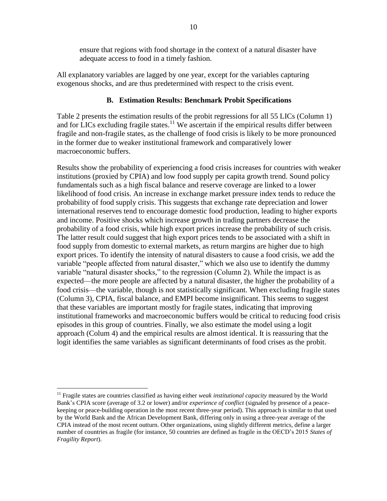ensure that regions with food shortage in the context of a natural disaster have adequate access to food in a timely fashion.

All explanatory variables are lagged by one year, except for the variables capturing exogenous shocks, and are thus predetermined with respect to the crisis event.

### **B. Estimation Results: Benchmark Probit Specifications**

Table 2 presents the estimation results of the probit regressions for all 55 LICs (Column 1) and for LICs excluding fragile states.<sup>11</sup> We ascertain if the empirical results differ between fragile and non-fragile states, as the challenge of food crisis is likely to be more pronounced in the former due to weaker institutional framework and comparatively lower macroeconomic buffers.

Results show the probability of experiencing a food crisis increases for countries with weaker institutions (proxied by CPIA) and low food supply per capita growth trend. Sound policy fundamentals such as a high fiscal balance and reserve coverage are linked to a lower likelihood of food crisis. An increase in exchange market pressure index tends to reduce the probability of food supply crisis. This suggests that exchange rate depreciation and lower international reserves tend to encourage domestic food production, leading to higher exports and income. Positive shocks which increase growth in trading partners decrease the probability of a food crisis, while high export prices increase the probability of such crisis. The latter result could suggest that high export prices tends to be associated with a shift in food supply from domestic to external markets, as return margins are higher due to high export prices. To identify the intensity of natural disasters to cause a food crisis, we add the variable "people affected from natural disaster," which we also use to identify the dummy variable "natural disaster shocks," to the regression (Column 2). While the impact is as expected—the more people are affected by a natural disaster, the higher the probability of a food crisis—the variable, though is not statistically significant. When excluding fragile states (Column 3), CPIA, fiscal balance, and EMPI become insignificant. This seems to suggest that these variables are important mostly for fragile states, indicating that improving institutional frameworks and macroeconomic buffers would be critical to reducing food crisis episodes in this group of countries. Finally, we also estimate the model using a logit approach (Colum 4) and the empirical results are almost identical. It is reassuring that the logit identifies the same variables as significant determinants of food crises as the probit.

<sup>&</sup>lt;sup>11</sup> Fragile states are countries classified as having either *weak institutional capacity* measured by the World Bank's CPIA score (average of 3.2 or lower) and/or *experience of conflict* (signaled by presence of a peacekeeping or peace-building operation in the most recent three-year period). This approach is similar to that used by the World Bank and the African Development Bank, differing only in using a three-year average of the CPIA instead of the most recent outturn. Other organizations, using slightly different metrics, define a larger number of countries as fragile (for instance, 50 countries are defined as fragile in the OECD's 2015 *States of Fragility Report*).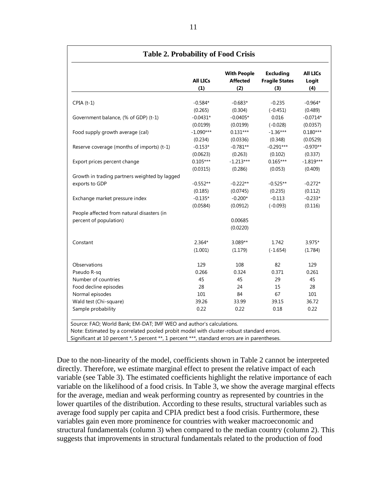|                                               | <b>All LICs</b> | <b>With People</b><br><b>Affected</b> | <b>Excluding</b><br><b>Fragile States</b> | <b>All LICs</b><br>Logit |
|-----------------------------------------------|-----------------|---------------------------------------|-------------------------------------------|--------------------------|
|                                               | (1)             | (2)                                   | (3)                                       | (4)                      |
| $CPIA(t-1)$                                   | $-0.584*$       | $-0.683*$                             | $-0.235$                                  | $-0.964*$                |
|                                               | (0.265)         | (0.304)                               | $(-0.451)$                                | (0.489)                  |
| Government balance, (% of GDP) (t-1)          | $-0.0431*$      | $-0.0405*$                            | 0.016                                     | $-0.0714*$               |
|                                               | (0.0199)        | (0.0199)                              | $(-0.028)$                                | (0.0357)                 |
| Food supply growth average (cal)              | $-1.090***$     | $0.131***$                            | $-1.36***$                                | $0.180***$               |
|                                               | (0.234)         | (0.0336)                              | (0.348)                                   | (0.0529)                 |
| Reserve coverage (months of imports) (t-1)    | $-0.153*$       | $-0.781**$                            | $-0.291***$                               | $-0.970**$               |
|                                               | (0.0623)        | (0.263)                               | (0.102)                                   | (0.337)                  |
| Export prices percent change                  | $0.105***$      | $-1.213***$                           | $0.165***$                                | $-1.819***$              |
|                                               | (0.0315)        | (0.286)                               | (0.053)                                   | (0.409)                  |
| Growth in trading partners weighted by lagged |                 |                                       |                                           |                          |
| exports to GDP                                | $-0.552**$      | $-0.222**$                            | $-0.525**$                                | $-0.272*$                |
|                                               | (0.185)         | (0.0745)                              | (0.235)                                   | (0.112)                  |
| Exchange market pressure index                | $-0.135*$       | $-0.200*$                             | $-0.113$                                  | $-0.233*$                |
|                                               | (0.0584)        | (0.0912)                              | $(-0.093)$                                | (0.116)                  |
| People affected from natural disasters (in    |                 |                                       |                                           |                          |
| percent of population)                        |                 | 0.00685                               |                                           |                          |
|                                               |                 | (0.0220)                              |                                           |                          |
| Constant                                      | $2.364*$        | 3.089**                               | 1.742                                     | 3.975*                   |
|                                               | (1.001)         | (1.179)                               | $(-1.654)$                                | (1.784)                  |
| Observations                                  | 129             | 108                                   | 82                                        | 129                      |
| Pseudo R-sq                                   | 0.266           | 0.324                                 | 0.371                                     | 0.261                    |
| Number of countries                           | 45              | 45                                    | 29                                        | 45                       |
| Food decline episodes                         | 28              | 24                                    | 15                                        | 28                       |
| Normal episodes                               | 101             | 84                                    | 67                                        | 101                      |
| Wald test (Chi-square)                        | 39.26           | 33.99                                 | 39.15                                     | 36.72                    |
| Sample probability                            | 0.22            | 0.22                                  | 0.18                                      | 0.22                     |

Due to the non-linearity of the model, coefficients shown in Table 2 cannot be interpreted directly. Therefore, we estimate marginal effect to present the relative impact of each variable (see Table 3). The estimated coefficients highlight the relative importance of each variable on the likelihood of a food crisis. In Table 3, we show the average marginal effects for the average, median and weak performing country as represented by countries in the lower quartiles of the distribution. According to these results, structural variables such as average food supply per capita and CPIA predict best a food crisis. Furthermore, these variables gain even more prominence for countries with weaker macroeconomic and structural fundamentals (column 3) when compared to the median country (column 2). This suggests that improvements in structural fundamentals related to the production of food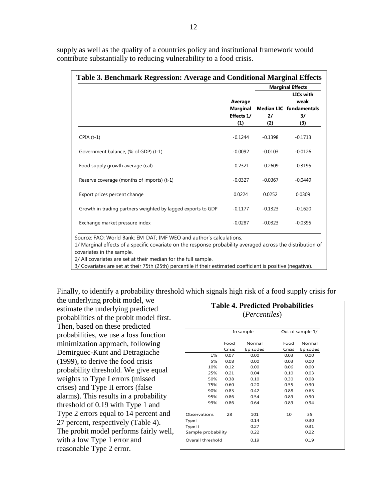|                                                              |                                                 | <b>Marginal Effects</b> |                                                                             |  |
|--------------------------------------------------------------|-------------------------------------------------|-------------------------|-----------------------------------------------------------------------------|--|
|                                                              | Average<br><b>Marginal</b><br>Effects 1/<br>(1) | 21<br>(2)               | LICs with<br>weak<br><b>Median LIC</b> fundamentals<br>$\frac{3}{2}$<br>(3) |  |
| $CPIA(t-1)$                                                  | $-0.1244$                                       | $-0.1398$               | $-0.1713$                                                                   |  |
| Government balance, (% of GDP) (t-1)                         | $-0.0092$                                       | $-0.0103$               | $-0.0126$                                                                   |  |
| Food supply growth average (cal)                             | $-0.2321$                                       | $-0.2609$               | $-0.3195$                                                                   |  |
| Reserve coverage (months of imports) (t-1)                   | $-0.0327$                                       | $-0.0367$               | $-0.0449$                                                                   |  |
| Export prices percent change                                 | 0.0224                                          | 0.0252                  | 0.0309                                                                      |  |
| Growth in trading partners weighted by lagged exports to GDP | $-0.1177$                                       | $-0.1323$               | $-0.1620$                                                                   |  |
| Exchange market pressure index                               | $-0.0287$                                       | $-0.0323$               | $-0.0395$                                                                   |  |

supply as well as the quality of a countries policy and institutional framework would contribute substantially to reducing vulnerability to a food crisis.

covariates in the sample.

2/ All covariates are set at their median for the full sample.

3/ Covariates are set at their 75th (25th) percentile if their estimated coefficient is positive (negative).

Finally, to identify a probability threshold which signals high risk of a food supply crisis for

the underlying probit model, we estimate the underlying predicted probabilities of the probit model first. Then, based on these predicted probabilities, we use a loss function minimization approach, following Demirguec-Kunt and Detragiache (1999), to derive the food crisis probability threshold. We give equal weights to Type I errors (missed crises) and Type II errors (false alarms). This results in a probability threshold of 0.19 with Type 1 and Type 2 errors equal to 14 percent and 27 percent, respectively (Table 4). The probit model performs fairly well, with a low Type 1 error and reasonable Type 2 error.

|                    |        | <b>Table 4. Predicted Probabilities</b><br>( <i>Percentiles</i> ) |        |                  |
|--------------------|--------|-------------------------------------------------------------------|--------|------------------|
|                    |        |                                                                   |        |                  |
|                    |        | In sample                                                         |        | Out of sample 1/ |
|                    | Food   | Normal                                                            | Food   | Normal           |
|                    | Crisis | Episodes                                                          | Crisis | Episodes         |
| 1%                 | 0.07   | 0.00                                                              | 0.03   | 0.00             |
| 5%                 | 0.08   | 0.00                                                              | 0.03   | 0.00             |
| 10%                | 0.12   | 0.00                                                              | 0.06   | 0.00             |
| 25%                | 0.21   | 0.04                                                              | 0.10   | 0.03             |
| 50%                | 0.38   | 0.10                                                              | 0.30   | 0.08             |
| 75%                | 0.60   | 0.20                                                              | 0.55   | 0.30             |
| 90%                | 0.83   | 0.42                                                              | 0.88   | 0.63             |
| 95%                | 0.86   | 0.54                                                              | 0.89   | 0.90             |
| 99%                | 0.86   | 0.64                                                              | 0.89   | 0.94             |
| Observations       | 28     | 101                                                               | 10     | 35               |
| Type I             |        | 0.14                                                              |        | 0.30             |
| Type II            |        | 0.27                                                              |        | 0.31             |
| Sample probability |        | 0.22                                                              |        | 0.22             |
| Overall threshold  |        | 0.19                                                              |        | 0.19             |
|                    |        |                                                                   |        |                  |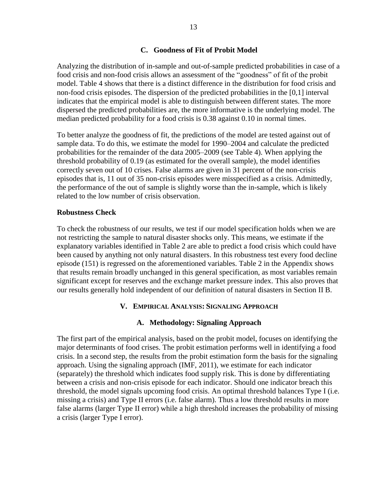### **C. Goodness of Fit of Probit Model**

Analyzing the distribution of in-sample and out-of-sample predicted probabilities in case of a food crisis and non-food crisis allows an assessment of the "goodness" of fit of the probit model. Table 4 shows that there is a distinct difference in the distribution for food crisis and non-food crisis episodes. The dispersion of the predicted probabilities in the [0,1] interval indicates that the empirical model is able to distinguish between different states. The more dispersed the predicted probabilities are, the more informative is the underlying model. The median predicted probability for a food crisis is 0.38 against 0.10 in normal times.

To better analyze the goodness of fit, the predictions of the model are tested against out of sample data. To do this, we estimate the model for 1990–2004 and calculate the predicted probabilities for the remainder of the data 2005–2009 (see Table 4). When applying the threshold probability of 0.19 (as estimated for the overall sample), the model identifies correctly seven out of 10 crises. False alarms are given in 31 percent of the non-crisis episodes that is, 11 out of 35 non-crisis episodes were misspecified as a crisis. Admittedly, the performance of the out of sample is slightly worse than the in-sample, which is likely related to the low number of crisis observation.

#### **Robustness Check**

To check the robustness of our results, we test if our model specification holds when we are not restricting the sample to natural disaster shocks only. This means, we estimate if the explanatory variables identified in Table 2 are able to predict a food crisis which could have been caused by anything not only natural disasters. In this robustness test every food decline episode (151) is regressed on the aforementioned variables. Table 2 in the Appendix shows that results remain broadly unchanged in this general specification, as most variables remain significant except for reserves and the exchange market pressure index. This also proves that our results generally hold independent of our definition of natural disasters in Section II B.

#### **V. EMPIRICAL ANALYSIS: SIGNALING APPROACH**

# **A. Methodology: Signaling Approach**

The first part of the empirical analysis, based on the probit model, focuses on identifying the major determinants of food crises. The probit estimation performs well in identifying a food crisis. In a second step, the results from the probit estimation form the basis for the signaling approach. Using the signaling approach (IMF, 2011), we estimate for each indicator (separately) the threshold which indicates food supply risk. This is done by differentiating between a crisis and non-crisis episode for each indicator. Should one indicator breach this threshold, the model signals upcoming food crisis. An optimal threshold balances Type I (i.e. missing a crisis) and Type II errors (i.e. false alarm). Thus a low threshold results in more false alarms (larger Type II error) while a high threshold increases the probability of missing a crisis (larger Type I error).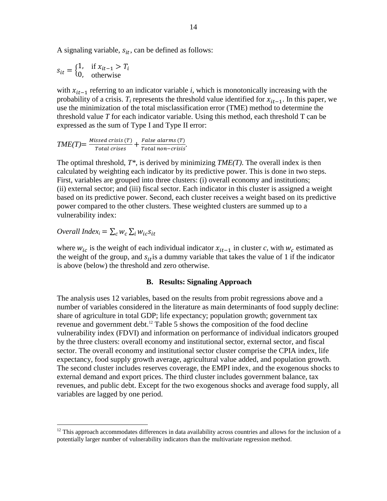A signaling variable,  $s_{it}$ , can be defined as follows:

 $s_{it} = \begin{cases} 1 \\ 0 \end{cases}$  $\boldsymbol{0}$ if otherwise

with  $x_{it-1}$  referring to an indicator variable *i*, which is monotonically increasing with the probability of a crisis.  $T_i$  represents the threshold value identified for  $x_{it-1}$ . In this paper, we use the minimization of the total misclassification error (TME) method to determine the threshold value *T* for each indicator variable. Using this method, each threshold T can be expressed as the sum of Type I and Type II error:

 $TME(T) = \frac{M}{T}$  $\frac{Z}{Total \; crises} + \frac{F}{T}$ *raise atarms (1)*<br>Total non-crisis

The optimal threshold, *T\**, is derived by minimizing *TME(T)*. The overall index is then calculated by weighting each indicator by its predictive power. This is done in two steps. First, variables are grouped into three clusters: (i) overall economy and institutions; (ii) external sector; and (iii) fiscal sector. Each indicator in this cluster is assigned a weight based on its predictive power. Second, each cluster receives a weight based on its predictive power compared to the other clusters. These weighted clusters are summed up to a vulnerability index:

*Overall Index*<sub>i</sub> = 
$$
\sum_{c} w_c \sum_{i} w_{ic} s_{it}
$$

 $\overline{a}$ 

where  $w_{ic}$  is the weight of each individual indicator  $x_{it-1}$  in cluster *c*, with  $w_c$  estimated as the weight of the group, and  $s_{it}$  is a dummy variable that takes the value of 1 if the indicator is above (below) the threshold and zero otherwise.

#### **B. Results: Signaling Approach**

The analysis uses 12 variables, based on the results from probit regressions above and a number of variables considered in the literature as main determinants of food supply decline: share of agriculture in total GDP; life expectancy; population growth; government tax revenue and government debt. <sup>12</sup> Table 5 shows the composition of the food decline vulnerability index (FDVI) and information on performance of individual indicators grouped by the three clusters: overall economy and institutional sector, external sector, and fiscal sector. The overall economy and institutional sector cluster comprise the CPIA index, life expectancy, food supply growth average, agricultural value added, and population growth. The second cluster includes reserves coverage, the EMPI index, and the exogenous shocks to external demand and export prices. The third cluster includes government balance, tax revenues, and public debt. Except for the two exogenous shocks and average food supply, all variables are lagged by one period.

 $12$  This approach accommodates differences in data availability across countries and allows for the inclusion of a potentially larger number of vulnerability indicators than the multivariate regression method.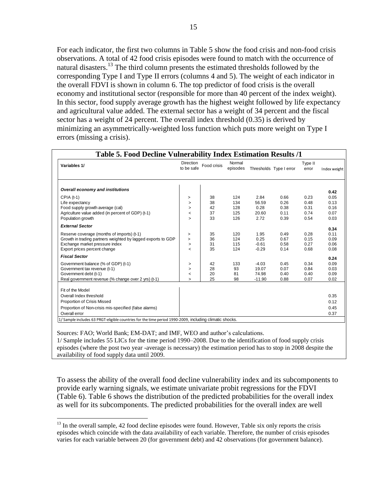For each indicator, the first two columns in Table 5 show the food crisis and non-food crisis observations. A total of 42 food crisis episodes were found to match with the occurrence of natural disasters.<sup>13</sup> The third column presents the estimated thresholds followed by the corresponding Type I and Type II errors (columns 4 and 5). The weight of each indicator in the overall FDVI is shown in column 6. The top predictor of food crisis is the overall economy and institutional sector (responsible for more than 40 percent of the index weight). In this sector, food supply average growth has the highest weight followed by life expectancy and agricultural value added. The external sector has a weight of 34 percent and the fiscal sector has a weight of 24 percent. The overall index threshold (0.35) is derived by minimizing an asymmetrically-weighted loss function which puts more weight on Type I errors (missing a crisis).

| Variables 1/                                                                                           | Direction<br>to be safe | Food crisis | Normal<br>episodes |          | Thresholds Type I error | Type II<br>error | Index weight |
|--------------------------------------------------------------------------------------------------------|-------------------------|-------------|--------------------|----------|-------------------------|------------------|--------------|
| Overall economy and institutions                                                                       |                         |             |                    |          |                         |                  |              |
| $CPIA$ ( $t-1$ )                                                                                       | $\geq$                  | 38          | 124                | 2.84     | 0.66                    | 0.23             | 0.42<br>0.05 |
| Life expectancy                                                                                        | $\geq$                  | 38          | 134                | 56.59    | 0.26                    | 0.48             | 0.13         |
| Food supply growth average (cal)                                                                       | $\geq$                  | 42          | 128                | 0.28     | 0.38                    | 0.31             | 0.16         |
| Agriculture value added (in percent of GDP) (t-1)                                                      | $\,<\,$                 | 37          | 125                | 20.60    | 0.11                    | 0.74             | 0.07         |
| Population growth                                                                                      | $\geq$                  | 33          | 126                | 2.72     | 0.39                    | 0.54             | 0.03         |
| <b>External Sector</b>                                                                                 |                         |             |                    |          |                         |                  | 0.34         |
| Reserve coverage (months of imports) (t-1)                                                             | >                       | 35          | 120                | 1.95     | 0.49                    | 0.28             | 0.11         |
| Growth in trading partners weighted by lagged exports to GDP                                           | $\geq$                  | 36          | 124                | 0.25     | 0.67                    | 0.15             | 0.09         |
| Exchange market pressure index                                                                         | >                       | 31          | 115                | $-0.61$  | 0.58                    | 0.27             | 0.06         |
| Export prices percent change                                                                           | $\,<\,$                 | 35          | 124                | $-0.29$  | 0.14                    | 0.68             | 0.08         |
| <b>Fiscal Sector</b>                                                                                   |                         |             |                    |          |                         |                  | 0.24         |
| Government balance (% of GDP) (t-1)                                                                    | $\geq$                  | 42          | 133                | $-4.03$  | 0.45                    | 0.34             | 0.09         |
| Government tax revenue (t-1)                                                                           | $\geq$                  | 28          | 93                 | 19.07    | 0.07                    | 0.84             | 0.03         |
| Government debt (t-1)                                                                                  | $\,<$                   | 20          | 81                 | 74.98    | 0.40                    | 0.40             | 0.09         |
| Real government revenue (% change over 2 yrs) (t-1)                                                    | $\geq$                  | 25          | 98                 | $-11.90$ | 0.88                    | 0.07             | 0.02         |
| Fit of the Model                                                                                       |                         |             |                    |          |                         |                  |              |
| Overall Index threshold                                                                                |                         |             |                    |          |                         |                  | 0.35         |
| <b>Proportion of Crisis Missed</b>                                                                     |                         |             |                    |          |                         |                  | 0.12         |
| Proportion of Non-crisis mis-specified (false alarms)                                                  |                         |             |                    |          |                         |                  | 0.45         |
| Overall error                                                                                          |                         |             |                    |          |                         |                  | 0.37         |
| 1/Sample includes 63 PRGT-eligible countries for the time period 1990-2009, including climatic shocks. |                         |             |                    |          |                         |                  |              |

 $\overline{a}$ 

Sources: FAO; World Bank; EM-DAT; and IMF, WEO and author's calculations. 1/ Sample includes 55 LICs for the time period 1990–2008. Due to the identification of food supply crisis episodes (where the post two year -average is necessary) the estimation period has to stop in 2008 despite the availability of food supply data until 2009.

To assess the ability of the overall food decline vulnerability index and its subcomponents to provide early warning signals, we estimate univariate probit regressions for the FDVI (Table 6). Table 6 shows the distribution of the predicted probabilities for the overall index as well for its subcomponents. The predicted probabilities for the overall index are well

 $13$  In the overall sample, 42 food decline episodes were found. However, Table six only reports the crisis episodes which coincide with the data availability of each variable. Therefore, the number of crisis episodes varies for each variable between 20 (for government debt) and 42 observations (for government balance).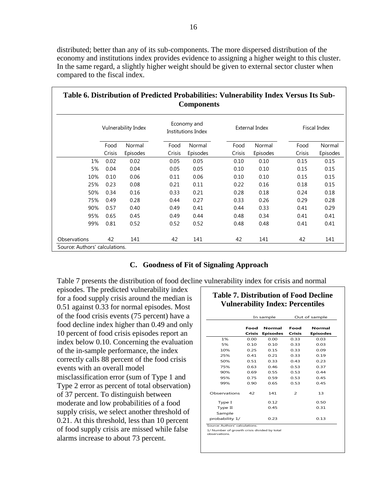distributed; better than any of its sub-components. The more dispersed distribution of the economy and institutions index provides evidence to assigning a higher weight to this cluster. In the same regard, a slightly higher weight should be given to external sector cluster when compared to the fiscal index.

| Table 6. Distribution of Predicted Probabilities: Vulnerability Index Versus Its Sub- |        |                     |        | <b>Components</b>                 |        |                       |        |              |
|---------------------------------------------------------------------------------------|--------|---------------------|--------|-----------------------------------|--------|-----------------------|--------|--------------|
|                                                                                       |        | Vulnerability Index |        | Economy and<br>Institutions Index |        | <b>External Index</b> |        | Fiscal Index |
|                                                                                       | Food   | Normal              | Food   | Normal                            | Food   | Normal                | Food   | Normal       |
|                                                                                       | Crisis | Episodes            | Crisis | Episodes                          | Crisis | Episodes              | Crisis | Episodes     |
| 1%                                                                                    | 0.02   | 0.02                | 0.05   | 0.05                              | 0.10   | 0.10                  | 0.15   | 0.15         |
| 5%                                                                                    | 0.04   | 0.04                | 0.05   | 0.05                              | 0.10   | 0.10                  | 0.15   | 0.15         |
| 10%                                                                                   | 0.10   | 0.06                | 0.11   | 0.06                              | 0.10   | 0.10                  | 0.15   | 0.15         |
| 25%                                                                                   | 0.23   | 0.08                | 0.21   | 0.11                              | 0.22   | 0.16                  | 0.18   | 0.15         |
| 50%                                                                                   | 0.34   | 0.16                | 0.33   | 0.21                              | 0.28   | 0.18                  | 0.24   | 0.18         |
| 75%                                                                                   | 0.49   | 0.28                | 0.44   | 0.27                              | 0.33   | 0.26                  | 0.29   | 0.28         |
| 90%                                                                                   | 0.57   | 0.40                | 0.49   | 0.41                              | 0.44   | 0.33                  | 0.41   | 0.29         |
| 95%                                                                                   | 0.65   | 0.45                | 0.49   | 0.44                              | 0.48   | 0.34                  | 0.41   | 0.41         |
| 99%                                                                                   | 0.81   | 0.52                | 0.52   | 0.52                              | 0.48   | 0.48                  | 0.41   | 0.41         |
| Observations                                                                          | 42     | 141                 | 42     | 141                               | 42     | 141                   | 42     | 141          |
| Source: Authors' calculations.                                                        |        |                     |        |                                   |        |                       |        |              |

#### **C. Goodness of Fit of Signaling Approach**

Table 7 presents the distribution of food decline vulnerability index for crisis and normal

episodes. The predicted vulnerability index for a food supply crisis around the median is 0.51 against 0.33 for normal episodes. Most of the food crisis events (75 percent) have a food decline index higher than 0.49 and only 10 percent of food crisis episodes report an index below 0.10. Concerning the evaluation of the in-sample performance, the index correctly calls 88 percent of the food crisis events with an overall model misclassification error (sum of Type 1 and Type 2 error as percent of total observation) of 37 percent. To distinguish between moderate and low probabilities of a food supply crisis, we select another threshold of 0.21. At this threshold, less than 10 percent of food supply crisis are missed while false alarms increase to about 73 percent.

# **Table 7. Distribution of Food Decline Vulnerability Index: Percentiles**

|                               |        | In sample       |                          | Out of sample   |
|-------------------------------|--------|-----------------|--------------------------|-----------------|
|                               | Food   | <b>Normal</b>   | Food                     | <b>Normal</b>   |
|                               | Crisis | <b>Episodes</b> | Crisis                   | <b>Episodes</b> |
| 1%                            | 0.00   | 0.00            | 0.33                     | 0.03            |
| 5%                            | 0.10   | 0.10            | 0.33                     | 0.03            |
| 10%                           | 0.25   | 0.15            | 0.33                     | 0.09            |
| 25%                           | 0.41   | 0.21            | 0.33                     | 0.19            |
| 50%                           | 0.51   | 0.33            | 0.43                     | 0.23            |
| 75%                           | 0.63   | 0.46            | 0.53                     | 0.37            |
| 90%                           | 0.69   | 0.55            | 0.53                     | 0.44            |
| 95%                           | 0.75   | 0.59            | 0.53                     | 0.45            |
| 99%                           | 0.90   | 0.65            | 0.53                     | 0.45            |
| Observations                  | 42     | 141             | $\overline{\phantom{0}}$ | 13              |
| Type I                        |        | 0.12            |                          | 0.50            |
| Type II                       |        | 0.45            |                          | 0.31            |
| Sample                        |        |                 |                          |                 |
| probability 1/                |        | 0.23            |                          | 0.13            |
| Source: Authors' calculations |        |                 |                          |                 |

1/ Number of growth crisis divided by total observations.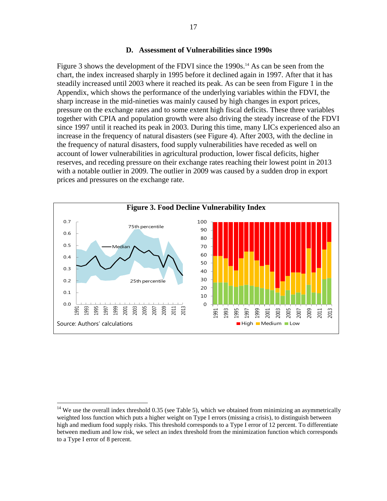#### **D. Assessment of Vulnerabilities since 1990s**

Figure 3 shows the development of the FDVI since the 1990s.<sup>14</sup> As can be seen from the chart, the index increased sharply in 1995 before it declined again in 1997. After that it has steadily increased until 2003 where it reached its peak. As can be seen from Figure 1 in the Appendix, which shows the performance of the underlying variables within the FDVI, the sharp increase in the mid-nineties was mainly caused by high changes in export prices, pressure on the exchange rates and to some extent high fiscal deficits. These three variables together with CPIA and population growth were also driving the steady increase of the FDVI since 1997 until it reached its peak in 2003. During this time, many LICs experienced also an increase in the frequency of natural disasters (see Figure 4). After 2003, with the decline in the frequency of natural disasters, food supply vulnerabilities have receded as well on account of lower vulnerabilities in agricultural production, lower fiscal deficits, higher reserves, and receding pressure on their exchange rates reaching their lowest point in 2013 with a notable outlier in 2009. The outlier in 2009 was caused by a sudden drop in export prices and pressures on the exchange rate.



 $14$  We use the overall index threshold 0.35 (see Table 5), which we obtained from minimizing an asymmetrically weighted loss function which puts a higher weight on Type I errors (missing a crisis), to distinguish between high and medium food supply risks. This threshold corresponds to a Type I error of 12 percent. To differentiate between medium and low risk, we select an index threshold from the minimization function which corresponds to a Type I error of 8 percent.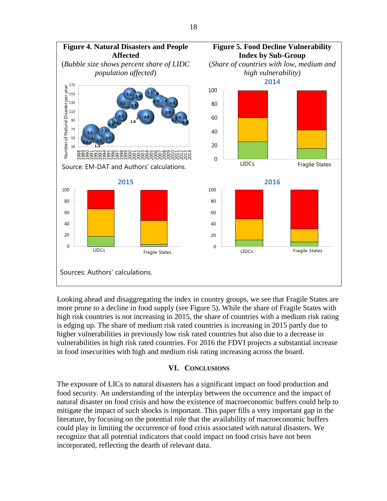

Looking ahead and disaggregating the index in country groups, we see that Fragile States are more prone to a decline in food supply (see Figure 5). While the share of Fragile States with high risk countries is not increasing in 2015, the share of countries with a medium risk rating is edging up. The share of medium risk rated countries is increasing in 2015 partly due to higher vulnerabilities in previously low risk rated countries but also due to a decrease in vulnerabilities in high risk rated countries. For 2016 the FDVI projects a substantial increase in food insecurities with high and medium risk rating increasing across the board.

#### **VI. CONCLUSIONS**

The exposure of LICs to natural disasters has a significant impact on food production and food security. An understanding of the interplay between the occurrence and the impact of natural disaster on food crisis and how the existence of macroeconomic buffers could help to mitigate the impact of such shocks is important. This paper fills a very important gap in the literature, by focusing on the potential role that the availability of macroeconomic buffers could play in limiting the occurrence of food crisis associated with natural disasters. We recognize that all potential indicators that could impact on food crisis have not been incorporated, reflecting the dearth of relevant data.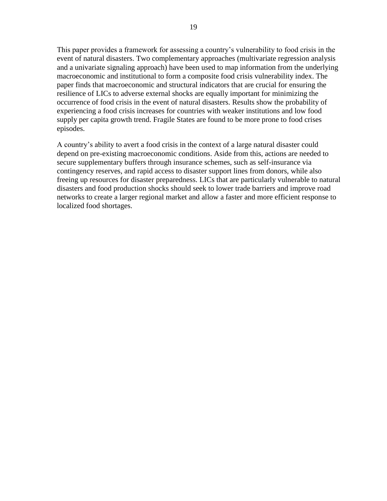This paper provides a framework for assessing a country's vulnerability to food crisis in the event of natural disasters. Two complementary approaches (multivariate regression analysis and a univariate signaling approach) have been used to map information from the underlying macroeconomic and institutional to form a composite food crisis vulnerability index. The paper finds that macroeconomic and structural indicators that are crucial for ensuring the resilience of LICs to adverse external shocks are equally important for minimizing the occurrence of food crisis in the event of natural disasters. Results show the probability of experiencing a food crisis increases for countries with weaker institutions and low food supply per capita growth trend. Fragile States are found to be more prone to food crises episodes.

A country's ability to avert a food crisis in the context of a large natural disaster could depend on pre-existing macroeconomic conditions. Aside from this, actions are needed to secure supplementary buffers through insurance schemes, such as self-insurance via contingency reserves, and rapid access to disaster support lines from donors, while also freeing up resources for disaster preparedness. LICs that are particularly vulnerable to natural disasters and food production shocks should seek to lower trade barriers and improve road networks to create a larger regional market and allow a faster and more efficient response to localized food shortages.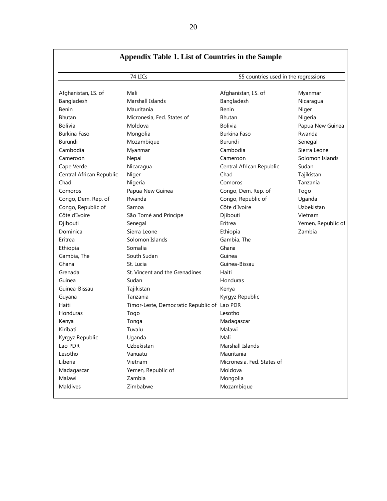|                          | 74 LICs                                     | 55 countries used in the regressions |                    |  |
|--------------------------|---------------------------------------------|--------------------------------------|--------------------|--|
| Afghanistan, I.S. of     | Mali                                        | Afghanistan, I.S. of                 | Myanmar            |  |
| Bangladesh               | Marshall Islands                            | Bangladesh                           | Nicaragua          |  |
| <b>Benin</b>             | Mauritania                                  | Benin                                | Niger              |  |
| <b>Bhutan</b>            | Micronesia, Fed. States of                  | <b>Bhutan</b>                        | Nigeria            |  |
| <b>Bolivia</b>           | Moldova                                     | <b>Bolivia</b>                       | Papua New Guinea   |  |
| Burkina Faso             | Mongolia                                    | <b>Burkina Faso</b>                  | Rwanda             |  |
| Burundi                  | Mozambique                                  | <b>Burundi</b>                       | Senegal            |  |
| Cambodia                 | Myanmar                                     | Cambodia                             | Sierra Leone       |  |
| Cameroon                 | Nepal                                       | Cameroon                             | Solomon Islands    |  |
| Cape Verde               | Nicaragua                                   | Central African Republic             | Sudan              |  |
| Central African Republic | Niger                                       | Chad                                 | Tajikistan         |  |
| Chad                     | Nigeria                                     | Comoros                              | Tanzania           |  |
| Comoros                  | Papua New Guinea                            | Congo, Dem. Rep. of                  | Togo               |  |
| Congo, Dem. Rep. of      | Rwanda                                      | Congo, Republic of                   | Uganda             |  |
| Congo, Republic of       | Samoa                                       | Côte d'Ivoire                        | Uzbekistan         |  |
| Côte d'Ivoire            | São Tomé and Príncipe                       | Djibouti                             | Vietnam            |  |
| Djibouti                 | Senegal                                     | Eritrea                              | Yemen, Republic of |  |
| Dominica                 | Sierra Leone                                | Ethiopia                             | Zambia             |  |
| Eritrea                  | Solomon Islands                             | Gambia, The                          |                    |  |
| Ethiopia                 | Somalia                                     | Ghana                                |                    |  |
| Gambia, The              | South Sudan                                 | Guinea                               |                    |  |
| Ghana                    | St. Lucia                                   | Guinea-Bissau                        |                    |  |
| Grenada                  | St. Vincent and the Grenadines              | Haiti                                |                    |  |
| Guinea                   | Sudan                                       | Honduras                             |                    |  |
| Guinea-Bissau            | Tajikistan                                  | Kenya                                |                    |  |
| Guyana                   | Tanzania                                    | Kyrgyz Republic                      |                    |  |
| Haiti                    | Timor-Leste, Democratic Republic of Lao PDR |                                      |                    |  |
| Honduras                 | Togo                                        | Lesotho                              |                    |  |
| Kenya                    | Tonga                                       | Madagascar                           |                    |  |
| Kiribati                 | Tuvalu                                      | Malawi                               |                    |  |
| Kyrgyz Republic          | Uganda                                      | Mali                                 |                    |  |
| Lao PDR                  | Uzbekistan                                  | Marshall Islands                     |                    |  |
| Lesotho                  | Vanuatu                                     | Mauritania                           |                    |  |
| Liberia                  | Vietnam                                     | Micronesia, Fed. States of           |                    |  |
| Madagascar               | Yemen, Republic of                          | Moldova                              |                    |  |
| Malawi                   | Zambia                                      | Mongolia                             |                    |  |
| Maldives                 | Zimbabwe                                    | Mozambique                           |                    |  |

20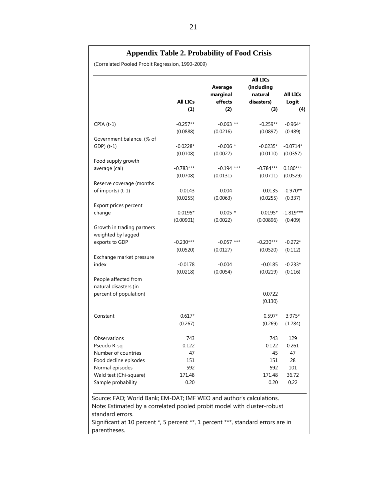|                                                                                                                                                |                        | Average<br>marginal | <b>All LICs</b><br>(including<br>natural | <b>All LICs</b> |
|------------------------------------------------------------------------------------------------------------------------------------------------|------------------------|---------------------|------------------------------------------|-----------------|
|                                                                                                                                                | <b>All LICs</b><br>(1) | effects<br>(2)      | disasters)<br>(3)                        | Logit<br>(4)    |
| $CPIA(t-1)$                                                                                                                                    | $-0.257**$             | $-0.063$ **         | $-0.259**$                               | $-0.964*$       |
|                                                                                                                                                | (0.0888)               | (0.0216)            | (0.0897)                                 | (0.489)         |
| Government balance, (% of                                                                                                                      |                        |                     |                                          |                 |
| GDP) (t-1)                                                                                                                                     | $-0.0228*$             | $-0.006$ *          | $-0.0235*$                               | $-0.0714*$      |
|                                                                                                                                                | (0.0108)               | (0.0027)            | (0.0110)                                 | (0.0357)        |
| Food supply growth                                                                                                                             |                        |                     |                                          |                 |
| average (cal)                                                                                                                                  | $-0.783***$            | $-0.194$ ***        | $-0.784***$                              | $0.180***$      |
|                                                                                                                                                | (0.0708)               | (0.0131)            | (0.0711)                                 | (0.0529)        |
| Reserve coverage (months                                                                                                                       |                        |                     |                                          |                 |
| of imports) (t-1)                                                                                                                              | $-0.0143$              | $-0.004$            | $-0.0135$                                | $-0.970**$      |
|                                                                                                                                                | (0.0255)               | (0.0063)            | (0.0255)                                 | (0.337)         |
| Export prices percent                                                                                                                          |                        |                     |                                          |                 |
| change                                                                                                                                         | $0.0195*$              | $0.005*$            | $0.0195*$                                | $-1.819***$     |
|                                                                                                                                                | (0.00901)              | (0.0022)            | (0.00896)                                | (0.409)         |
| Growth in trading partners                                                                                                                     |                        |                     |                                          |                 |
| weighted by lagged                                                                                                                             |                        |                     |                                          |                 |
| exports to GDP                                                                                                                                 | $-0.230***$            | $-0.057$ ***        | $-0.230***$                              | $-0.272*$       |
|                                                                                                                                                | (0.0520)               | (0.0127)            | (0.0520)                                 | (0.112)         |
| Exchange market pressure                                                                                                                       |                        |                     |                                          |                 |
| index                                                                                                                                          | $-0.0178$              | $-0.004$            | $-0.0185$                                | $-0.233*$       |
|                                                                                                                                                | (0.0218)               | (0.0054)            | (0.0219)                                 | (0.116)         |
| People affected from                                                                                                                           |                        |                     |                                          |                 |
| natural disasters (in                                                                                                                          |                        |                     | 0.0722                                   |                 |
| percent of population)                                                                                                                         |                        |                     | (0.130)                                  |                 |
|                                                                                                                                                |                        |                     |                                          |                 |
| Constant                                                                                                                                       | $0.617*$               |                     | $0.597*$                                 | $3.975*$        |
|                                                                                                                                                | (0.267)                |                     | (0.269)                                  | (1.784)         |
|                                                                                                                                                |                        |                     |                                          |                 |
| Observations                                                                                                                                   | 743                    |                     | 743                                      | 129             |
| Pseudo R-sq                                                                                                                                    | 0.122                  |                     | 0.122                                    | 0.261           |
| Number of countries                                                                                                                            | 47                     |                     | 45                                       | 47              |
| Food decline episodes                                                                                                                          | 151                    |                     | 151                                      | 28              |
| Normal episodes                                                                                                                                | 592                    |                     | 592                                      | 101             |
| Wald test (Chi-square)                                                                                                                         | 171.48                 |                     | 171.48                                   | 36.72           |
| Sample probability                                                                                                                             | 0.20                   |                     | 0.20                                     | 0.22            |
| Source: FAO; World Bank; EM-DAT; IMF WEO and author's calculations.<br>Note: Estimated by a correlated pooled probit model with cluster-robust |                        |                     |                                          |                 |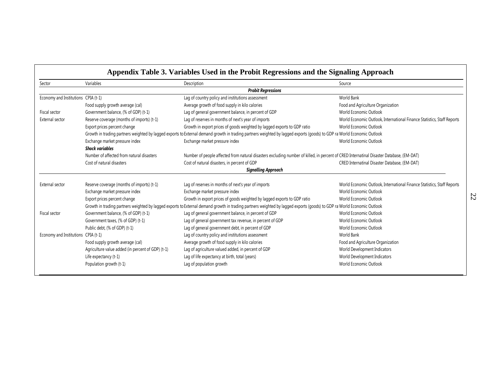| Sector                              | Variables                                         | Description                                                                                                                                                             | Source                                                                  |
|-------------------------------------|---------------------------------------------------|-------------------------------------------------------------------------------------------------------------------------------------------------------------------------|-------------------------------------------------------------------------|
|                                     |                                                   | <b>Probit Regressions</b>                                                                                                                                               |                                                                         |
| Economy and Institutions CPIA (t-1) |                                                   | Lag of country policy and institutions assessment                                                                                                                       | <b>World Bank</b>                                                       |
|                                     | Food supply growth average (cal)                  | Average growth of food supply in kilo calories                                                                                                                          | Food and Agriculture Organization                                       |
| Fiscal sector                       | Government balance, (% of GDP) (t-1)              | Lag of general government balance, in percent of GDP                                                                                                                    | World Economic Outlook                                                  |
| External sector                     | Reserve coverage (months of imports) (t-1)        | Lag of reserves in months of next's year of imports                                                                                                                     | World Economic Outlook, International Finance Statistics, Staff Reports |
|                                     | Export prices percent change                      | Growth in export prices of goods weighted by lagged exports to GDP ratio                                                                                                | World Economic Outlook                                                  |
|                                     |                                                   | Growth in trading partners weighted by lagged exports to External demand growth in trading partners weighted by lagged exports (goods) to GDP ra World Economic Outlook |                                                                         |
|                                     | Exchange market pressure index                    | Exchange market pressure index                                                                                                                                          | World Economic Outlook                                                  |
|                                     | <b>Shock variables</b>                            |                                                                                                                                                                         |                                                                         |
|                                     | Number of affected from natural disasters         | Number of people affected from natural disasters excluding number of killed, in percent of CRED Internatinal Disaster Database, (EM-DAT)                                |                                                                         |
|                                     | Cost of natural disasters                         | Cost of natural disasters, in percent of GDP                                                                                                                            | CRED Internatinal Disaster Database, (EM-DAT)                           |
|                                     |                                                   | <b>Signalling Approach</b>                                                                                                                                              |                                                                         |
| External sector                     | Reserve coverage (months of imports) (t-1)        | Lag of reserves in months of next's year of imports                                                                                                                     | World Economic Outlook, International Finance Statistics, Staff Reports |
|                                     | Exchange market pressure index                    | Exchange market pressure index                                                                                                                                          | World Economic Outlook                                                  |
|                                     | Export prices percent change                      | Growth in export prices of goods weighted by lagged exports to GDP ratio                                                                                                | World Economic Outlook                                                  |
|                                     |                                                   | Growth in trading partners weighted by lagged exports to External demand growth in trading partners weighted by lagged exports (goods) to GDP ra World Economic Outlook |                                                                         |
| Fiscal sector                       | Government balance, (% of GDP) (t-1)              | Lag of general government balance, in percent of GDP                                                                                                                    | World Economic Outlook                                                  |
|                                     | Government taxes, (% of GDP) (t-1)                | Lag of general government tax revenue, in percent of GDP                                                                                                                | World Economic Outlook                                                  |
|                                     | Public debt, (% of GDP) (t-1)                     | Lag of general government debt, in percent of GDP                                                                                                                       | World Economic Outlook                                                  |
| Economy and Institutions CPIA (t-1) |                                                   | Lag of country policy and institutions assessment                                                                                                                       | World Bank                                                              |
|                                     | Food supply growth average (cal)                  | Average growth of food supply in kilo calories                                                                                                                          | Food and Agriculture Organization                                       |
|                                     | Agriculture value added (in percent of GDP) (t-1) | Lag of agriculture valued added, in percent of GDP                                                                                                                      | World Development Indicators                                            |
|                                     | Life expectancy (t-1)                             | Lag of life expectancy at birth, total (years)                                                                                                                          | World Development Indicators                                            |
|                                     | Population growth (t-1)                           | Lag of population growth                                                                                                                                                | World Economic Outlook                                                  |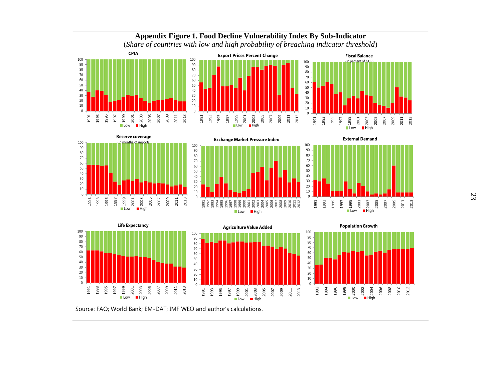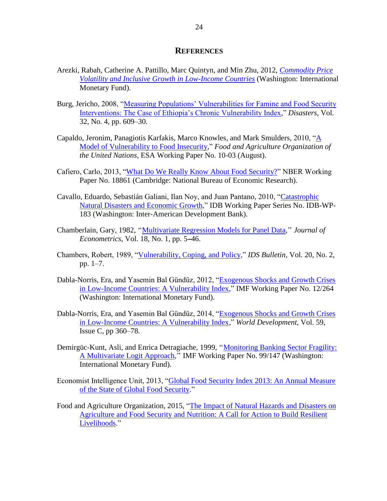#### **REFERENCES**

- Arezki, Rabah, Catherine A. Pattillo, Marc Quintyn, and Min Zhu, 2012, *[Commodity Price](https://www.imf.org/external/pubs/cat/longres.aspx?sk=25718.0)  [Volatility and Inclusive Growth in Low-Income Countries](https://www.imf.org/external/pubs/cat/longres.aspx?sk=25718.0)* (Washington: International Monetary Fund).
- Burg, Jericho, 2008, "Measuring Populations' Vulnerabilities for Famine and Food Security [Interventions: The Case of Ethiopia's Chronic Vulnerability Index,](http://www.ncbi.nlm.nih.gov/pubmed/18479473)" *Disasters*, Vol. 32, No. 4, pp. 609–30.
- Capaldo, Jeronim, Panagiotis Karfakis, Marco Knowles, and Mark Smulders, 2010, ["A](http://www.google.com/url?sa=t&rct=j&q=&esrc=s&source=web&cd=1&cad=rja&uact=8&ved=0ahUKEwiVm-2j2prLAhWLLB4KHRV0CCkQFgghMAA&url=http%3A%2F%2Fwww.fao.org%2F3%2Fa-al318e.pdf&usg=AFQjCNHLGimmEDNatIk2wEIIQmdeIM89Ow)  [Model of Vulnerability to Food Insecurity,](http://www.google.com/url?sa=t&rct=j&q=&esrc=s&source=web&cd=1&cad=rja&uact=8&ved=0ahUKEwiVm-2j2prLAhWLLB4KHRV0CCkQFgghMAA&url=http%3A%2F%2Fwww.fao.org%2F3%2Fa-al318e.pdf&usg=AFQjCNHLGimmEDNatIk2wEIIQmdeIM89Ow)" *Food and Agriculture Organization of the United Nations*, ESA Working Paper No. 10-03 (August).
- Cafiero, Carlo, 2013, ["What Do We Really Know About Food Security?"](http://www.nber.org/papers/w18861) NBER Working Paper No. 18861 (Cambridge: National Bureau of Economic Research).
- Cavallo, Eduardo, Sebastián Galiani, Ilan Noy, and Juan Pantano, 2010, ["Catastrophic](http://www.google.com/url?sa=t&rct=j&q=&esrc=s&source=web&cd=1&cad=rja&uact=8&ved=0ahUKEwi0i6ug35rLAhXH1h4KHb9NAckQFgghMAA&url=http%3A%2F%2Fwww.iadb.org%2Fresearch%2Fpub_hits.cfm%3Fpub_id%3D35220118&usg=AFQjCNFeosAZfheqabmvXXXVOTRx01FxrA)  [Natural Disasters and Economic Growth,](http://www.google.com/url?sa=t&rct=j&q=&esrc=s&source=web&cd=1&cad=rja&uact=8&ved=0ahUKEwi0i6ug35rLAhXH1h4KHb9NAckQFgghMAA&url=http%3A%2F%2Fwww.iadb.org%2Fresearch%2Fpub_hits.cfm%3Fpub_id%3D35220118&usg=AFQjCNFeosAZfheqabmvXXXVOTRx01FxrA)" IDB Working Paper Series No. IDB-WP-183 (Washington: Inter-American Development Bank).
- Chamberlain, Gary, 1982, '['Multivariate Regression Models for Panel Data,](http://www.sciencedirect.com/science/article/pii/030440768290094X)'' *Journal of Econometrics*, Vol. 18, No. 1, pp. 5–46.
- Chambers, Robert, 1989, ["Vulnerability, Coping, and Policy,](http://onlinelibrary.wiley.com/doi/10.1111/j.1759-5436.1989.mp20002001.x/abstract)" *IDS Bulletin*, Vol. 20, No. 2, pp. 1–7.
- Dabla-Norris, Era, and Yasemin Bal Gündüz, 2012, ["Exogenous Shocks and Growth Crises](https://www.google.com/url?sa=t&rct=j&q=&esrc=s&source=web&cd=1&ved=0ahUKEwiI67HZ55rLAhULXB4KHc2GD60QFggfMAA&url=https%3A%2F%2Fwww.imf.org%2Fexternal%2Fpubs%2Fft%2Fwp%2F2012%2Fwp12264.pdf&usg=AFQjCNHjFEtyfH5n5s3NvrnH3kV4_XCBPg&bvm=bv.115339255,d.dmo)  [in Low-Income Countries: A Vulnerability Index,](https://www.google.com/url?sa=t&rct=j&q=&esrc=s&source=web&cd=1&ved=0ahUKEwiI67HZ55rLAhULXB4KHc2GD60QFggfMAA&url=https%3A%2F%2Fwww.imf.org%2Fexternal%2Fpubs%2Fft%2Fwp%2F2012%2Fwp12264.pdf&usg=AFQjCNHjFEtyfH5n5s3NvrnH3kV4_XCBPg&bvm=bv.115339255,d.dmo)" IMF Working Paper No. 12/264 (Washington: International Monetary Fund).
- Dabla-Norris, Era, and Yasemin Bal Gündüz, 2014, ["Exogenous Shocks and Growth Crises](http://econpapers.repec.org/article/eeewdevel/v_3a59_3ay_3a2014_3ai_3ac_3ap_3a360-378.htm)  [in Low-Income Countries: A Vulnerability Index,](http://econpapers.repec.org/article/eeewdevel/v_3a59_3ay_3a2014_3ai_3ac_3ap_3a360-378.htm)" *World Development*, Vol. 59, Issue C, pp 360–78.
- Demirgüc-Kunt, Asli, and Enrica Detragiache, 1999, '['Monitoring Banking Sector Fragility:](https://www.google.com/url?sa=t&rct=j&q=&esrc=s&source=web&cd=1&ved=0ahUKEwju0Yii66LLAhVCSyYKHQ6ZAocQFgggMAA&url=https%3A%2F%2Fwww.imf.org%2Fexternal%2Fpubs%2Fft%2Fwp%2F1999%2Fwp99147.pdf&usg=AFQjCNHuehqq9f4Od3S3mvgpQhIZsHgu2g&bvm=bv.115339255,d.eWE)  [A Multivariate Logit Approach,](https://www.google.com/url?sa=t&rct=j&q=&esrc=s&source=web&cd=1&ved=0ahUKEwju0Yii66LLAhVCSyYKHQ6ZAocQFgggMAA&url=https%3A%2F%2Fwww.imf.org%2Fexternal%2Fpubs%2Fft%2Fwp%2F1999%2Fwp99147.pdf&usg=AFQjCNHuehqq9f4Od3S3mvgpQhIZsHgu2g&bvm=bv.115339255,d.eWE)'' IMF Working Paper No. 99/147 (Washington: International Monetary Fund).
- Economist Intelligence Unit, 2013, ["Global Food Security Index 2013: An Annual Measure](http://www.google.com/url?sa=t&rct=j&q=&esrc=s&source=web&cd=1&cad=rja&uact=8&ved=0ahUKEwiJtY2x65rLAhWB1R4KHde-CW0QFggcMAA&url=http%3A%2F%2Ffoodsecurityindex.eiu.com%2FHome%2FDownloadResource%3FfileName%3DEIU%2520Global%2520Food%2520Security%2520Index%2520)  [of the State of Global Food Security.](http://www.google.com/url?sa=t&rct=j&q=&esrc=s&source=web&cd=1&cad=rja&uact=8&ved=0ahUKEwiJtY2x65rLAhWB1R4KHde-CW0QFggcMAA&url=http%3A%2F%2Ffoodsecurityindex.eiu.com%2FHome%2FDownloadResource%3FfileName%3DEIU%2520Global%2520Food%2520Security%2520Index%2520)"
- Food and Agriculture Organization, 2015, ["The Impact of Natural Hazards and Disasters on](http://www.google.com/url?sa=t&rct=j&q=&esrc=s&source=web&cd=1&cad=rja&uact=8&ved=0ahUKEwj8hpeM7ZrLAhUK2B4KHcLLCloQFggcMAA&url=http%3A%2F%2Fwww.fao.org%2F3%2Fa-i4434e.pdf&usg=AFQjCNGqZhFinuywOeg7Yv_CM13JpCKoSg)  [Agriculture and Food Security and Nutrition: A Call for Action to Build Resilient](http://www.google.com/url?sa=t&rct=j&q=&esrc=s&source=web&cd=1&cad=rja&uact=8&ved=0ahUKEwj8hpeM7ZrLAhUK2B4KHcLLCloQFggcMAA&url=http%3A%2F%2Fwww.fao.org%2F3%2Fa-i4434e.pdf&usg=AFQjCNGqZhFinuywOeg7Yv_CM13JpCKoSg)  [Livelihoods.](http://www.google.com/url?sa=t&rct=j&q=&esrc=s&source=web&cd=1&cad=rja&uact=8&ved=0ahUKEwj8hpeM7ZrLAhUK2B4KHcLLCloQFggcMAA&url=http%3A%2F%2Fwww.fao.org%2F3%2Fa-i4434e.pdf&usg=AFQjCNGqZhFinuywOeg7Yv_CM13JpCKoSg)"